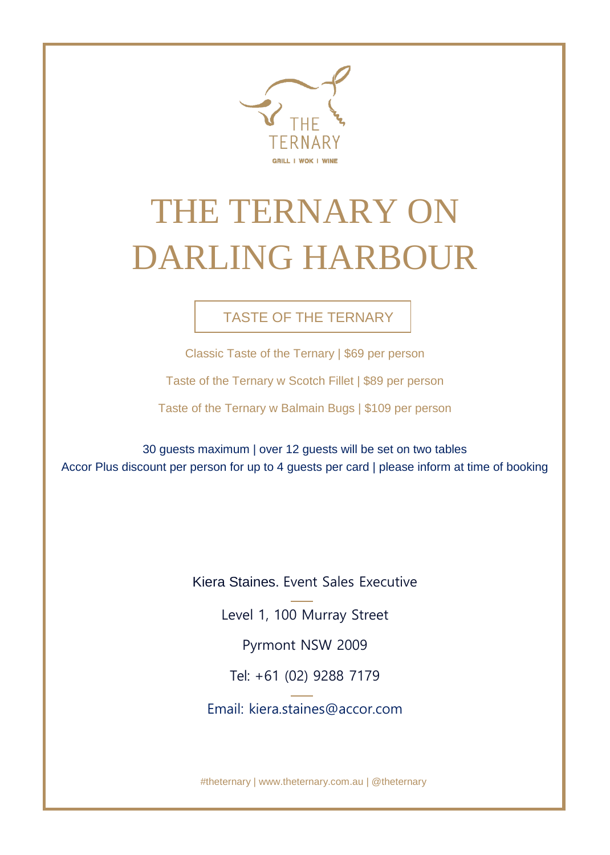

# THE TERNARY ON DARLING HARBOUR

## TASTE OF THE TERNARY

Classic Taste of the Ternary | \$69 per person

Taste of the Ternary w Scotch Fillet | \$89 per person

Taste of the Ternary w Balmain Bugs | \$109 per person

30 guests maximum | over 12 guests will be set on two tables Accor Plus discount per person for up to 4 guests per card | please inform at time of booking

Kiera Staines. Event Sales Executive

Level 1, 100 Murray Street

Pyrmont NSW 2009

Tel: +61 (02) 9288 7179

[Email: kiera.staines@accor.com](mailto:Email:%20kiera.staines@accor.com)

#thete[rnary | www.theternary.com.au](http://www.theternary.com.au/) | @theternary